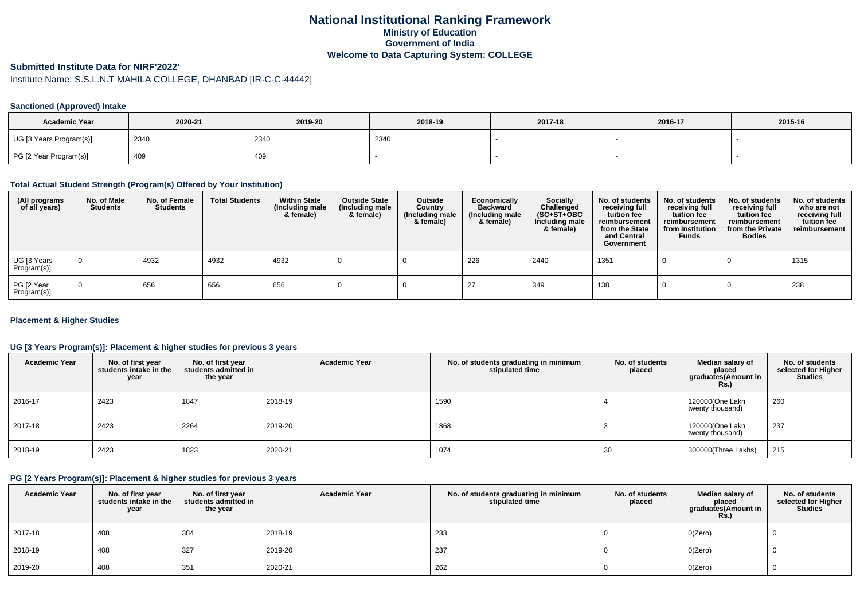# **National Institutional Ranking FrameworkMinistry of Education Government of IndiaWelcome to Data Capturing System: COLLEGE**

#### **Submitted Institute Data for NIRF'2022'**

# Institute Name: S.S.L.N.T MAHILA COLLEGE, DHANBAD [IR-C-C-44442]

## **Sanctioned (Approved) Intake**

| <b>Academic Year</b>    | 2020-21 | 2019-20 | 2018-19 | 2017-18 | 2016-17 | 2015-16 |
|-------------------------|---------|---------|---------|---------|---------|---------|
| UG [3 Years Program(s)] | 2340    | 2340    | 2340    |         |         |         |
| PG [2 Year Program(s)]  | 409     | 409     |         |         |         |         |

#### **Total Actual Student Strength (Program(s) Offered by Your Institution)**

| (All programs<br>of all years) | No. of Male<br><b>Students</b> | No. of Female<br><b>Students</b> | <b>Total Students</b> | <b>Within State</b><br>(Including male<br>& female) | <b>Outside State</b><br>(Including male<br>& female) | Outside<br>Country<br>(Including male<br>& female) | Economically<br><b>Backward</b><br>(Including male<br>& female) | <b>Socially</b><br>Challenged<br>$(SC+ST+OBC)$<br>Including male<br>& female) | No. of students<br>receiving full<br>tuition fee<br>reimbursement<br>from the State<br>and Central<br>Government | No. of students<br>receiving full<br>tuition fee<br>reimbursement<br>from Institution<br><b>Funds</b> | No. of students<br>receiving full<br>tuition fee<br>reimbursement<br>from the Private<br><b>Bodies</b> | No. of students<br>who are not<br>receiving full<br>tuition fee<br>reimbursement |
|--------------------------------|--------------------------------|----------------------------------|-----------------------|-----------------------------------------------------|------------------------------------------------------|----------------------------------------------------|-----------------------------------------------------------------|-------------------------------------------------------------------------------|------------------------------------------------------------------------------------------------------------------|-------------------------------------------------------------------------------------------------------|--------------------------------------------------------------------------------------------------------|----------------------------------------------------------------------------------|
| UG [3 Years<br>Program(s)]     |                                | 4932                             | 4932                  | 4932                                                |                                                      |                                                    | 226                                                             | 2440                                                                          | 1351                                                                                                             |                                                                                                       |                                                                                                        | 1315                                                                             |
| PG [2 Year<br>Program(s)]      |                                | 656                              | 656                   | 656                                                 |                                                      |                                                    |                                                                 | 349                                                                           | 138                                                                                                              |                                                                                                       |                                                                                                        | 238                                                                              |

#### **Placement & Higher Studies**

#### **UG [3 Years Program(s)]: Placement & higher studies for previous 3 years**

| <b>Academic Year</b> | No. of first year<br>students intake in the<br>year | No. of first year<br>students admitted in<br>the year | <b>Academic Year</b> | No. of students graduating in minimum<br>stipulated time | No. of students<br>placed | Median salary of<br>placed<br>graduates(Amount in<br><b>Rs.)</b> | No. of students<br>selected for Higher<br><b>Studies</b> |
|----------------------|-----------------------------------------------------|-------------------------------------------------------|----------------------|----------------------------------------------------------|---------------------------|------------------------------------------------------------------|----------------------------------------------------------|
| 2016-17              | 2423                                                | 1847                                                  | 2018-19              | 1590                                                     |                           | 120000(One Lakh<br>twenty thousand)                              | 260                                                      |
| 2017-18              | 2423                                                | 2264                                                  | 2019-20              | 1868                                                     |                           | 120000(One Lakh<br>twenty thousand)                              | 237                                                      |
| 2018-19              | 2423                                                | 1823                                                  | 2020-21              | 1074                                                     | 30                        | 300000(Three Lakhs)                                              | 215                                                      |

#### **PG [2 Years Program(s)]: Placement & higher studies for previous 3 years**

| <b>Academic Year</b> | No. of first year<br>students intake in the<br>year | No. of first vear<br>students admitted in<br>the year | <b>Academic Year</b> | No. of students graduating in minimum<br>stipulated time | No. of students<br>placed | Median salary of<br>placed<br>graduates(Amount in<br><b>Rs.)</b> | No. of students<br>selected for Higher<br><b>Studies</b> |
|----------------------|-----------------------------------------------------|-------------------------------------------------------|----------------------|----------------------------------------------------------|---------------------------|------------------------------------------------------------------|----------------------------------------------------------|
| 2017-18              | 408                                                 | 384                                                   | 2018-19              | 233                                                      |                           | O(Zero)                                                          |                                                          |
| 2018-19              | 408                                                 | 327                                                   | 2019-20              | 237                                                      |                           | O(Zero)                                                          |                                                          |
| 2019-20              | 408                                                 | 351                                                   | 2020-21              | 262                                                      |                           | O(Zero)                                                          |                                                          |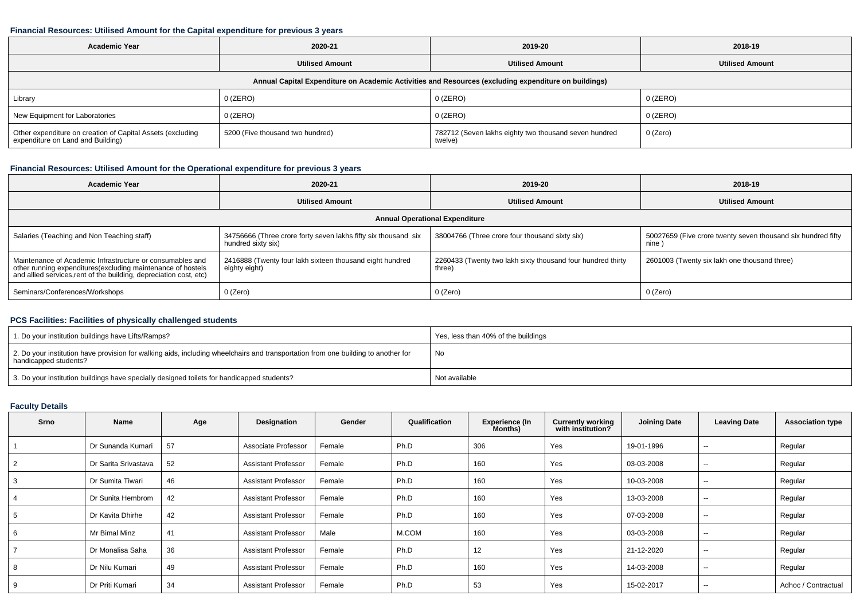#### **Financial Resources: Utilised Amount for the Capital expenditure for previous 3 years**

| <b>Academic Year</b><br>2020-21                                                                      |                                  | 2019-20                                                          | 2018-19                |  |  |  |  |  |  |
|------------------------------------------------------------------------------------------------------|----------------------------------|------------------------------------------------------------------|------------------------|--|--|--|--|--|--|
|                                                                                                      | <b>Utilised Amount</b>           | <b>Utilised Amount</b>                                           | <b>Utilised Amount</b> |  |  |  |  |  |  |
| Annual Capital Expenditure on Academic Activities and Resources (excluding expenditure on buildings) |                                  |                                                                  |                        |  |  |  |  |  |  |
| Library                                                                                              | $0$ (ZERO)                       | 0 (ZERO)                                                         | $0$ (ZERO)             |  |  |  |  |  |  |
| New Equipment for Laboratories                                                                       | $0$ (ZERO)                       | 0 (ZERO)                                                         | $0$ (ZERO)             |  |  |  |  |  |  |
| Other expenditure on creation of Capital Assets (excluding<br>expenditure on Land and Building)      | 5200 (Five thousand two hundred) | 782712 (Seven lakhs eighty two thousand seven hundred<br>twelve) | 0 (Zero)               |  |  |  |  |  |  |

## **Financial Resources: Utilised Amount for the Operational expenditure for previous 3 years**

| <b>Academic Year</b>                                                                                                                                                                           | 2020-21                                                                              |                                                                       | 2018-19                                                              |  |  |  |  |  |
|------------------------------------------------------------------------------------------------------------------------------------------------------------------------------------------------|--------------------------------------------------------------------------------------|-----------------------------------------------------------------------|----------------------------------------------------------------------|--|--|--|--|--|
|                                                                                                                                                                                                | <b>Utilised Amount</b>                                                               | <b>Utilised Amount</b>                                                | <b>Utilised Amount</b>                                               |  |  |  |  |  |
| <b>Annual Operational Expenditure</b>                                                                                                                                                          |                                                                                      |                                                                       |                                                                      |  |  |  |  |  |
| Salaries (Teaching and Non Teaching staff)                                                                                                                                                     | 34756666 (Three crore forty seven lakhs fifty six thousand six<br>hundred sixty six) | 38004766 (Three crore four thousand sixty six)                        | 50027659 (Five crore twenty seven thousand six hundred fifty<br>nine |  |  |  |  |  |
| Maintenance of Academic Infrastructure or consumables and<br>other running expenditures(excluding maintenance of hostels<br>and allied services, rent of the building, depreciation cost, etc) | 2416888 (Twenty four lakh sixteen thousand eight hundred<br>eighty eight)            | 2260433 (Twenty two lakh sixty thousand four hundred thirty<br>three) | 2601003 (Twenty six lakh one thousand three)                         |  |  |  |  |  |
| Seminars/Conferences/Workshops                                                                                                                                                                 | $0$ (Zero)                                                                           | 0 (Zero)                                                              | 0 (Zero)                                                             |  |  |  |  |  |

# **PCS Facilities: Facilities of physically challenged students**

| 1. Do your institution buildings have Lifts/Ramps?                                                                                                         | Yes, less than 40% of the buildings |
|------------------------------------------------------------------------------------------------------------------------------------------------------------|-------------------------------------|
| 2. Do your institution have provision for walking aids, including wheelchairs and transportation from one building to another for<br>handicapped students? | No                                  |
| 3. Do your institution buildings have specially designed toilets for handicapped students?                                                                 | Not available                       |

## **Faculty Details**

| Srno | Name                 | Age  | Designation                | Gender | Qualification | <b>Experience (In</b><br>Months) | <b>Currently working</b><br>with institution? | Joining Date | <b>Leaving Date</b> | <b>Association type</b> |
|------|----------------------|------|----------------------------|--------|---------------|----------------------------------|-----------------------------------------------|--------------|---------------------|-------------------------|
|      | Dr Sunanda Kumari    | . 57 | Associate Professor        | Female | Ph.D          | 306                              | Yes                                           | 19-01-1996   | $-$                 | Regular                 |
|      | Dr Sarita Srivastava | 52   | <b>Assistant Professor</b> | Female | Ph.D          | 160                              | Yes                                           | 03-03-2008   | $\sim$              | Regular                 |
|      | Dr Sumita Tiwari     | 46   | Assistant Professor        | Female | Ph.D          | 160                              | Yes                                           | 10-03-2008   | $-$                 | Regular                 |
|      | Dr Sunita Hembrom    | 42   | <b>Assistant Professor</b> | Female | Ph.D          | 160                              | Yes                                           | 13-03-2008   | $-$                 | Regular                 |
|      | Dr Kavita Dhirhe     | 42   | <b>Assistant Professor</b> | Female | Ph.D          | 160                              | Yes                                           | 07-03-2008   | $-$                 | Regular                 |
|      | Mr Bimal Minz        | 41   | <b>Assistant Professor</b> | Male   | M.COM         | 160                              | Yes                                           | 03-03-2008   | $\sim$              | Regular                 |
|      | Dr Monalisa Saha     | 36   | <b>Assistant Professor</b> | Female | Ph.D          | 12                               | Yes                                           | 21-12-2020   | $-$                 | Regular                 |
|      | Dr Nilu Kumari       | 49   | <b>Assistant Professor</b> | Female | Ph.D          | 160                              | Yes                                           | 14-03-2008   | $- -$               | Regular                 |
| -9   | Dr Priti Kumari      | 34   | <b>Assistant Professor</b> | Female | Ph.D          | 53                               | Yes                                           | 15-02-2017   | $- -$               | Adhoc / Contractual     |